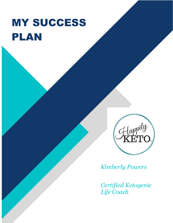# MY SUCCESS PLAN



*Kimberly Powers*

*Certified Ketogenic Life Coach*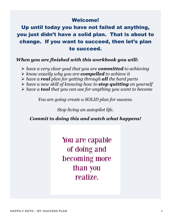### Welcome!

Up until today you have not failed at anything, you just didn't have a solid plan. That is about to change. If you want to succeed, then let's plan to succeed.

### *When you are finished with this workbook you will:*

- ➢ *have a very clear goal that you are committed to achieving*
- ➢ *know exactly why you are compelled to achieve it*
- ➢ *have a real plan for getting through all the hard parts*
- ➢ *have a new skill of knowing how to stop quitting on yourself*
- ➢ *have a tool that you can use for anything you want to become*

*You are going create a SOLID plan for success.*

*Stop living an autopilot life.*

*Commit to doing this and watch what happens!*

You are capable of doing and becoming more than you realize.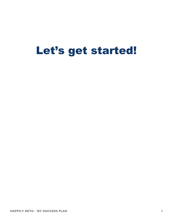## Let's get started!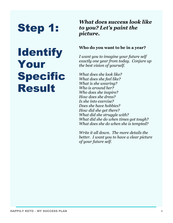# Step 1:

# **Identify** Your **Specific** Result

### *What does success look like to you? Let's paint the picture.*

### **Who do you want to be in a year?**

*I want you to imagine your future self exactly one year from today. Conjure up the best vision of yourself.* 

*What does she look like? What does she feel like? What is she wearing? Who is around her? Who does she inspire? How does she dress? Is she into exercise? Does she have hobbies? How did she get there? What did she struggle with? What did she do when times got tough? What does she do when she is tempted?*

*Write it all down. The more details the better. I want you to have a clear picture of your future self.*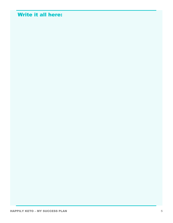### Write it all here: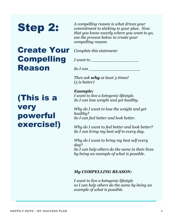# Step 2:

## Create Your **Complete this statement**: **Compelling** Reason

*A compelling reason is what drives your commitment to sticking to your plan. Now that you know exactly where you want to go, use the process below to create your compelling reason.*

*I* want to *I* 

*So I can \_\_\_\_\_\_\_\_\_\_\_\_\_\_\_\_\_\_\_\_*

*Then ask why at least 3 times! (5 is better)*

## (This is a very powerful exercise!)

*Example: I want to live a ketogenic lifestyle. So I can lose weight and get healthy.*

*Why do I want to lose the weight and get healthy? So I can feel better and look better.* 

*Why do I want to feel better and look better? So I can bring my best self to every day.*

*Why do I want to bring my best self every day?*

*So I can help others do the same in their lives by being an example of what is possible.*

#### *My COMPELLING REASON:*

*I want to live a ketogenic lifestyle so I can help others do the same by being an example of what is possible.*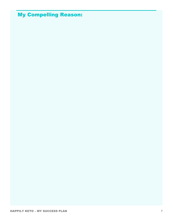### My Compelling Reason: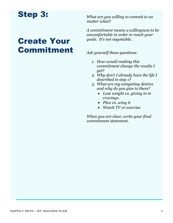## Step 3:

## Create Your Commitment

*What are you willing to commit to no matter what?* 

*A commitment means a willingness to be uncomfortable in order to reach your goals. It's not negotiable.* 

*Ask yourself these questions:*

- *1. How would making this commitment change the results I get?*
- *2. Why don't I already have the life I described in step 1?*
- *3. What are my competing desires and why do you give to them?*
	- *Lose weight vs. giving in to cravings.*
	- *Plan vs. wing it*
	- *Watch TV or exercise*

*When you are clear, write your final commitment statement.*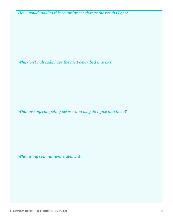*How would making this commitment change the results I get?*

*Why don't I already have the life I described in step 1?*

*What are my competing desires and why do I give into them?*

*What is my commitment statement?*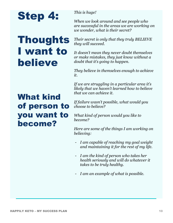

## Thoughts I want to believe

#### *This is huge!*

*When we look around and see people who are successful in the areas we are working on we wonder, what is their secret?*

*Their secret is only that they truly BELIEVE they will succeed.* 

*It doesn't mean they never doubt themselves or make mistakes, they just know without a doubt that it's going to happen.* 

*They believe in themselves enough to achieve it.* 

*If we are struggling in a particular area it's likely that we haven't learned how to believe that we can achieve it.*

#### *If failure wasn't possible, what would you choose to believe?*

*What kind of person would you like to become?* 

*Here are some of the things I am working on believing:*

- *I am capable of reaching my goal weight and maintaining it for the rest of my life.*
- *I am the kind of person who takes her health seriously and will do whatever it takes to be truly healthy.*
- *I am an example of what is possible.*

## What kind of person to you want to become?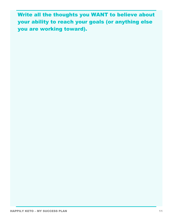Write all the thoughts you WANT to believe about your ability to reach your goals (or anything else you are working toward).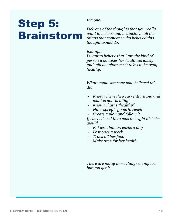# Step 5: Brainstorm

*Big one!*

*Pick one of the thoughts that you really want to believe and brainstorm all the things that someone who believed this thought would do.*

#### *Example:*

*I want to believe that I am the kind of person who takes her health seriously and will do whatever it takes to be truly healthy.*

*What would someone who believed this do?*

- *Know where they currently stand and what is not "healthy"*
- *Know what is "healthy"*
- *Have specific goals to reach*
- *Create a plan and follow it*

*If she believed Keto was the right diet she would…*

- *Eat less than 20 carbs a day*
- *Fast once a week*
- *Track all her food*
- *Make time for her health*

*There are many more things on my list but you get it.*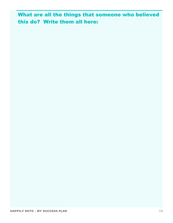What are all the things that someone who believed this do? Write them all here: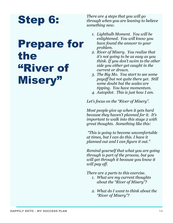# Step 6:

# Prepare for the "River of Misery"

*There are 4 steps that you will go through when you are leaning to believe something new.*

- *1. Lightbulb Moment. You will be enlightened. You will know you have found the answer to your problem.*
- *2. River of Misery. You realize that it's not going to be as easy as you think. If you don't swim to the other side you either get caught in the current or drown.*
- *3. The Big Mo. You start to see some payoff but not quite there yet. Still some doubt but the scales are tipping. You have momentum.*
- *4. Autopilot. This is just how I am.*

*Let's focus on the "River of Misery".*

*Most people give up when it gets hard because they haven't planned for it. It's important to walk into this stage 2 with great thoughts. Something like this:* 

*"This is going to become uncomfortable at times, but I can do this. I have it planned out and I can figure it out."*

*Remind yourself that what you are going through is part of the process, but you will get through it because you know it will pay off.* 

*There are 2 parts to this exercise.*

- *1. What are my current thoughts about the "River of Misery"?*
- *2. What do I want to think about the "River of Misery"?*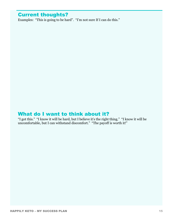### Current thoughts?

Examples: "This is going to be hard". "I'm not sure If I can do this."

### What do I want to think about it?

"I got this." "I know it will be hard, but I believe it's the right thing." "I know it will be uncomfortable, but I can withstand discomfort." "The payoff is worth it!"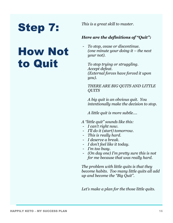*This is a great skill to master.*

# Step 7:

# How Not to Quit

### *Here are the definitions of "Quit":*

- *To stop, cease or discontinue. (one minute your doing it – the next your not).*

*To stop trying or struggling. Accept defeat. (External forces have forced it upon you).*

### *THERE ARE BIG QUITS AND LITTLE QUITS*

*A big quit is an obvious quit. You intentionally make the decision to stop.*

*A little quit is more subtle….*

- *A "little quit" sounds like this:*
- *I can't right now.*
- *I'll do it (start) tomorrow.*
- *This is really hard.*
- *I deserve a break.*
- *I don't feel like it today.*
- *I'm too busy.*
- *(On day one) I'm pretty sure this is not for me because that was really hard.*

*The problem with little quits is that they become habits. Too many little quits all add up and become the "Big Quit".*

*Let's make a plan for the those little quits.*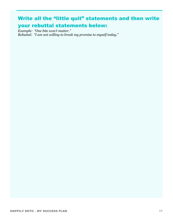### Write all the "little quit" statements and then write your rebuttal statements below:

*Example: "One bite won't matter." Rebuttal: "I am not willing to break my promise to myself today."*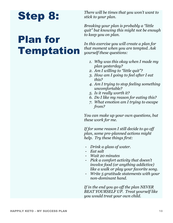# Step 8:

# Plan for Temptation

*There will be times that you won't want to stick to your plan.* 

*Breaking your plan is probably a "little quit" but knowing this might not be enough to keep you on plan.* 

*In this exercise you will create a plan for that moment when you are tempted. Ask yourself these questions:*

- *1. Why was this okay when I made my plan yesterday?*
- *2. Am I willing to "little quit"?*
- *3. How am I going to feel after I eat this?*
- *4. Am I trying to stop feeling something uncomfortable?*
- *5. Is it really worth it?*
- *6. Do I like my reason for eating this?*
- *7. What emotion am I trying to escape from?*

*You can make up your own questions, but these work for me.* 

*If for some reason I still decide to go off plan, some pre-planned actions might help. Try these things first:*

- *Drink a glass of water.*
- *Eat salt*
- *Wait 20 minutes*
- *Pick a comfort activity that doesn't involve food (or anything addictive) like a walk or play your favorite song.*
- *Write 5 gratitude statements with your non-dominant hand.*

*If in the end you go off the plan NEVER BEAT YOURSELF UP. Treat yourself like you would treat your own child.*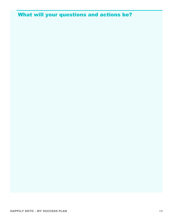### What will your questions and actions be?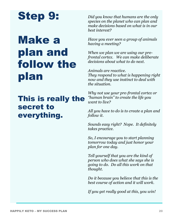# Step 9:

# Make a plan and follow the plan

## This is really the secret to everything.

*Did you know that humans are the only species on the planet who can plan and make decisions based on what is in our best interest?* 

*Have you ever seen a group of animals having a meeting?*

*When we plan we are using our prefrontal cortex. We can make deliberate decisions about what to do next.* 

*Animals are reactive. They respond to what is happening right now and they use instinct to deal with the situation.*

*Why not use your pre-frontal cortex or "human brain" to create the life you want to live?*

*All you have to do is to create a plan and follow it.*

*Sounds easy right? Nope. It definitely takes practice.* 

*So, I encourage you to start planning tomorrow today and just honor your plan for one day.* 

*Tell yourself that you are the kind of person who does what she says she is going to do. Do all this work on that thought.* 

*Do it because you believe that this is the best course of action and it will work.*

*If you get really good at this, you win!*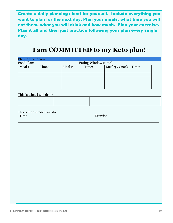Create a daily planning sheet for yourself. Include everything you want to plan for the next day. Plan your meals, what time you will eat them, what you will drink and how much. Plan your exercise. Plan it all and then just practice following your plan every single day.

### **I am COMMITTED to my Keto plan!**

| Plan for tomorrow: |       |                       |       |                      |  |
|--------------------|-------|-----------------------|-------|----------------------|--|
| Food Plan:         |       | Eating Window (time): |       |                      |  |
| Meal 1             | Time: | Meal 2                | Time: | Meal 3 / Snack Time: |  |
|                    |       |                       |       |                      |  |
|                    |       |                       |       |                      |  |
|                    |       |                       |       |                      |  |
|                    |       |                       |       |                      |  |
|                    |       |                       |       |                      |  |

This is what I will drink

This is the exercise I will do

| Time | $\mathbf{v}_{\text{X}ercise}$ |
|------|-------------------------------|
|      |                               |
|      |                               |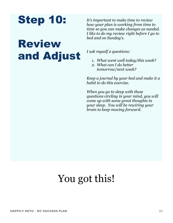

# Review and Adjust

*It's important to make time to review how your plan is working from time to time so you can make changes as needed. I like to do my review right before I go to bed and on Sunday's.* 

*I ask myself 2 questions:*

- *1. What went well today/this week?*
- *2. What can I do better tomorrow/next week?*

*Keep a journal by your bed and make it a habit to do this exercise.* 

*When you go to sleep with these questions circling in your mind, you will come up with some great thoughts in your sleep. You will be rewiring your brain to keep moving forward.* 

## You got this!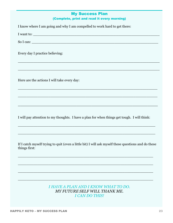### My Success Plan (Complete, print and read it every morning)

| I know where I am going and why I am compelled to work hard to get there:                                                                                            |
|----------------------------------------------------------------------------------------------------------------------------------------------------------------------|
| I want to:                                                                                                                                                           |
| So I can:                                                                                                                                                            |
| Every day I practice believing:<br><u> 1999 - Johann Harry Harry Harry Harry Harry Harry Harry Harry Harry Harry Harry Harry Harry Harry Harry Harry</u>             |
|                                                                                                                                                                      |
| Here are the actions I will take every day:<br><u> 1989 - Johann Barbara, martxa alemaniar argumentuar argumentuar argumentuar argumentuar argumentuar argumentu</u> |
|                                                                                                                                                                      |
|                                                                                                                                                                      |
| I will pay attention to my thoughts. I have a plan for when things get tough. I will think:                                                                          |
|                                                                                                                                                                      |
| If I catch myself trying to quit (even a little bit) I will ask myself these questions and do these<br>things first:                                                 |
|                                                                                                                                                                      |
|                                                                                                                                                                      |
|                                                                                                                                                                      |

*I HAVE A PLAN AND I KNOW WHAT TO DO. MY FUTURE SELF WILL THANK ME. I CAN DO THIS!*